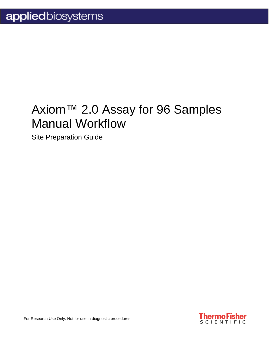# Axiom™ 2.0 Assay for 96 Samples Manual Workflow

Site Preparation Guide



For Research Use Only. Not for use in diagnostic procedures.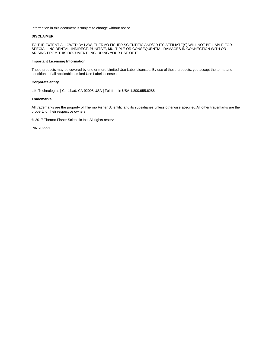Information in this document is subject to change without notice.

#### **DISCLAIMER**

TO THE EXTENT ALLOWED BY LAW, THERMO FISHER SCIENTIFIC AND/OR ITS AFFILIATE(S) WILL NOT BE LIABLE FOR SPECIAL, INCIDENTAL, INDIRECT, PUNITIVE, MULTIPLE OR CONSEQUENTIAL DAMAGES IN CONNECTION WITH OR ARISING FROM THIS DOCUMENT, INCLUDING YOUR USE OF IT.

#### **Important Licensing Information**

These products may be covered by one or more Limited Use Label Licenses. By use of these products, you accept the terms and conditions of all applicable Limited Use Label Licenses.

#### **Corporate entity**

Life Technologies | Carlsbad, CA 92008 USA | Toll free in USA 1.800.955.6288

#### **Trademarks**

All trademarks are the property of Thermo Fisher Scientific and its subsidiaries unless otherwise specified.All other trademarks are the property of their respective owners.

© 2017 Thermo Fisher Scientific Inc. All rights reserved.

P/N 702991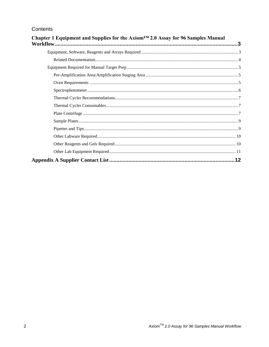### Contents

| Chapter 1 Equipment and Supplies for the Axiom <sup>™</sup> 2.0 Assay for 96 Samples Manual |                 |
|---------------------------------------------------------------------------------------------|-----------------|
|                                                                                             |                 |
|                                                                                             |                 |
|                                                                                             |                 |
|                                                                                             |                 |
|                                                                                             |                 |
|                                                                                             |                 |
|                                                                                             |                 |
|                                                                                             |                 |
|                                                                                             |                 |
|                                                                                             |                 |
|                                                                                             |                 |
|                                                                                             |                 |
|                                                                                             |                 |
|                                                                                             |                 |
|                                                                                             | $\overline{12}$ |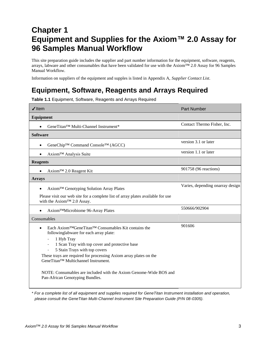# <span id="page-3-0"></span>**Chapter 1 Equipment and Supplies for the Axiom™ 2.0 Assay for 96 Samples Manual Workflow**

This site preparation guide includes the supplier and part number information for the equipment, software, reagents, arrays, labware and other consumables that have been validated for use with the Axiom™ 2.0 Assay for 96 Samples Manual Workflow.

Information on suppliers of the equipment and supples is listed in Appendix A, *Supplier Contact List*.

## <span id="page-3-1"></span>**Equipment, Software, Reagents and Arrays Required**

**Table 1.1** Equipment, Software, Reagents and Arrays Required

| $\checkmark$ ltem                                                                                                                                                                                                                                                                                                                                                                                                                                                                      | <b>Part Number</b>               |
|----------------------------------------------------------------------------------------------------------------------------------------------------------------------------------------------------------------------------------------------------------------------------------------------------------------------------------------------------------------------------------------------------------------------------------------------------------------------------------------|----------------------------------|
| Equipment                                                                                                                                                                                                                                                                                                                                                                                                                                                                              |                                  |
| GeneTitan™ Multi-Channel Instrument*                                                                                                                                                                                                                                                                                                                                                                                                                                                   | Contact Thermo Fisher, Inc.      |
| <b>Software</b>                                                                                                                                                                                                                                                                                                                                                                                                                                                                        |                                  |
| GeneChip™ Command Console™ (AGCC)<br>$\bullet$                                                                                                                                                                                                                                                                                                                                                                                                                                         | version 3.1 or later             |
| Axiom™ Analysis Suite                                                                                                                                                                                                                                                                                                                                                                                                                                                                  | version 1.1 or later             |
| <b>Reagents</b>                                                                                                                                                                                                                                                                                                                                                                                                                                                                        |                                  |
| Axiom™ 2.0 Reagent Kit<br>$\bullet$                                                                                                                                                                                                                                                                                                                                                                                                                                                    | 901758 (96 reactions)            |
| <b>Arrays</b>                                                                                                                                                                                                                                                                                                                                                                                                                                                                          |                                  |
| Axiom™ Genotyping Solution Array Plates<br>$\bullet$                                                                                                                                                                                                                                                                                                                                                                                                                                   | Varies, depending onarray design |
| Please visit our web site for a complete list of array plates available for use<br>with the Axiom™ 2.0 Assay.                                                                                                                                                                                                                                                                                                                                                                          |                                  |
| Axiom™Microbiome 96-Array Plates<br>$\bullet$                                                                                                                                                                                                                                                                                                                                                                                                                                          | 550666/902904                    |
| Consumables                                                                                                                                                                                                                                                                                                                                                                                                                                                                            |                                  |
| Each Axiom™GeneTitan™ Consumables Kit contains the<br>$\bullet$<br>followinglabware for each array plate:<br>1 Hyb Tray<br>$\overline{\phantom{a}}$<br>1 Scan Tray with top cover and protective base<br>$\overline{\phantom{a}}$<br>5 Stain Trays with top covers<br>These trays are required for processing Axiom array plates on the<br>GeneTitan™ Multichannel Instrument.<br>NOTE: Consumables are included with the Axiom Genome-Wide BOS and<br>Pan-African Genotyping Bundles. | 901606                           |
|                                                                                                                                                                                                                                                                                                                                                                                                                                                                                        |                                  |

*\* For a complete list of all equipment and supplies required for GeneTitan Instrument installation and operation, please consult the GeneTitan Multi-Channel Instrument Site Preparation Guide (P/N 08-0305).*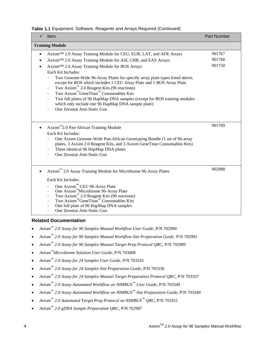**Table 1.1** Equipment, Software, Reagents and Arrays Required (Continued)

| <b>Item</b>                                                                                                                                                                                                                                                                                                                                                                                                                                                                                                                                                                                                                                                                                            | <b>Part Number</b>         |
|--------------------------------------------------------------------------------------------------------------------------------------------------------------------------------------------------------------------------------------------------------------------------------------------------------------------------------------------------------------------------------------------------------------------------------------------------------------------------------------------------------------------------------------------------------------------------------------------------------------------------------------------------------------------------------------------------------|----------------------------|
| <b>Training Module</b>                                                                                                                                                                                                                                                                                                                                                                                                                                                                                                                                                                                                                                                                                 |                            |
| Axiom™ 2.0 Assay Training Module for CEU, EUR, LAT, and AFR Arrays<br>Axiom™ 2.0 Assay Training Module for ASI, CHB, and EAS Arrays<br>Axiom™ 2.0 Assay Training Module for BOS Arrays<br>٠<br>Each Kit Includes:<br>Two Genome-Wide 96-Array Plates for specific array plate types listed above,<br>except for BOS which includes 1 CEU Array Plate and 1 BOS Array Plate.<br>Two Axiom <sup>™</sup> 2.0 Reagent Kits (96 reactions)<br>$\overline{\phantom{a}}$<br>Two Axiom <sup>™</sup> GeneTitan <sup>™</sup> Consumables Kits<br>Two full plates of 96 HapMap DNA samples (except for BOS training modules<br>which only include one 96 HapMap DNA sample plate)<br>One Zerostat Anti-Static Gun | 901767<br>901768<br>901750 |
| Axiom™2.0 Pan-African Training Module<br>Each Kit Includes:<br>One Axiom Genome-Wide Pan-African Genotyping Bundle (1 set of 96-array<br>plates, 3 Axiom 2.0 Reagent Kits, and 3 Axiom GeneTitan Consumables Kits)<br>Three identical 96 HapMap DNA plates<br>One Zerostat Anti-Static Gun                                                                                                                                                                                                                                                                                                                                                                                                             | 901769                     |
| Axiom™ 2.0 Assay Training Module for Microbiome 96-Array Plates<br>Each Kit Includes:<br>One Axiom <sup>™</sup> CEU 96-Array Plate<br>One Axiom Microbiome 96-Array Plate<br>Two Axiom Microbiome 96-Array Plate<br>Two Axiom Monet Titan Monsumables Kits<br>One full plate of 96 HapMap DNA samples<br>One Zerostat Anti-Static Gun                                                                                                                                                                                                                                                                                                                                                                  | 902988                     |

#### <span id="page-4-0"></span>**Related Documentation**

- *Axiom*™ *2.0 Assay for 96 Samples Manual Workflow User Guide*, P/N 702990
- *Axiom*™ *2.0 Assay for 96 Samples Manual Workflow Site Preparation Guide*, P/N 702991
- *Axiom*™ *2.0 Assay for 96 Samples Manual Target Prep Protocol QRC*, P/N 702989
- *Axiom*™*Microbiome Solution User Guide*, P/N 703408
- *Axiom*™ *2.0 Assay for 24 Samples User Guide*, P/N 703335
- *Axiom*™ *2.0 Assay for 24 Samples Site Preparation Guide*, P/N 703336
- *Axiom*™ *2.0 Assay for 24 Samples Manual Target Preparation Protocol QRC*, P/N 703337
- *Axiom*™ *2.0 Assay Automated Workflow on NIMBUS*™ *User Guide*, P/N 703349
- *Axiom*™ *2.0 Assay Automated Workflow on NIMBUS*™ *Site Preparation Guide*, P/N 703349
- *Axiom*™ *2.0 Automated Target Prep Protocol on NIMBUS*™ *QRC*, P/N 703351
- *Axiom*™ *2.0 gDNA Sample Preparation QRC*, P/N 702987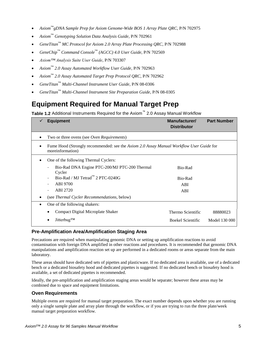- *Axiom*™*gDNA Sample Prep for Axiom Genome-Wide BOS 1 Array Plate QRC*, P/N 702975
- *Axiom*™ *Genotyping Solution Data Analysis Guide*, P/N 702961
- *GeneTitan*™ *MC Protocol for Axiom 2.0 Array Plate Processing QRC*, P/N 702988
- *GeneChip*™ *Command Console*™ *(AGCC) 4.0 User Guide*, P/N 702569
- *Axiom™ Analysis Suite User Guide*, P/N 703307
- *Axiom*™ *2.0 Assay Automated Workflow User Guide*, P/N 702963
- *Axiom*™ *2.0 Assay Automated Target Prep Protocol QRC*, P/N 702962
- *GeneTitan*™ *Multi-Channel Instrument User Guide*, P/N 08-0306
- *GeneTitan*™ *Multi-Channel Instrument Site Preparation Guide*, P/N 08-0305

### <span id="page-5-0"></span>**Equipment Required for Manual Target Prep**

**Table 1.2** Additional Instruments Required for the Axiom™ 2.0 Assay Manual Workflow

| <b>Equipment</b>                                                                                            | Manufacturer/<br><b>Distributor</b> | <b>Part Number</b> |
|-------------------------------------------------------------------------------------------------------------|-------------------------------------|--------------------|
| Two or three ovens (see Oven Requirements)                                                                  |                                     |                    |
| Fume Hood (Strongly recommended: see the Axiom 2.0 Assay Manual Workflow User Guide for<br>moreinformation) |                                     |                    |
| One of the following Thermal Cyclers:                                                                       |                                     |                    |
| Bio-Rad DNA Engine PTC-200/MJ PTC-200 Thermal<br>Cycler                                                     | Bio-Rad                             |                    |
| Bio-Rad / MJ Tetrad <sup>™</sup> 2 PTC-0240G                                                                | Bio-Rad                             |                    |
| <b>ABI 9700</b>                                                                                             | ABI                                 |                    |
| ABI 2720                                                                                                    | ABI                                 |                    |
| (see <i>Thermal Cycler Recommendations</i> , below)                                                         |                                     |                    |
| One of the following shakers:<br>٠                                                                          |                                     |                    |
| Compact Digital Microplate Shaker                                                                           | Thermo Scientific                   | 88880023           |
| $Jitterbug^{TM}$                                                                                            | Boekel Scientific                   | Model 130 000      |

#### <span id="page-5-1"></span>**Pre-Amplification Area/Amplification Staging Area**

Precautions are required when manipulating genomic DNA or setting up amplification reactions to avoid contamination with foreign DNA amplified in other reactions and procedures. It is recommended that genomic DNA manipulations and amplification reaction set up are performed in a dedicated rooms or areas separate from the main laboratory.

These areas should have dedicated sets of pipettes and plasticware. If no dedicated area is available, use of a dedicated bench or a dedicated biosafety hood and dedicated pipettes is suggested. If no dedicated bench or biosafety hood is available, a set of dedicated pipettes is recommended.

Ideally, the pre-amplification and amplification staging areas would be separate; however these areas may be combined due to space and equipment limitations.

#### <span id="page-5-2"></span>**Oven Requirements**

Multiple ovens are required for manual target preparation. The exact number depends upon whether you are running only a single sample plate and array plate through the workflow, or if you are trying to run the three plate/week manual target preparation workflow.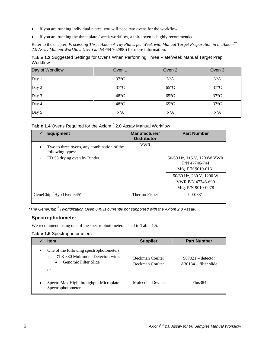- If you are running individual plates, you will need two ovens for the workflow.
- If you are running the three plate / week workflow, a third oven is highly recommended.

Refer to the chapter, *Processing Three Axiom Array Plates per Week with Manual Target Preparation in theAxiom™ 2.0 Assay Manual Workflow User Guide*(P/N 702990) for more information.

#### **Table 1.3** Suggested Settings for Ovens When Performing Three Plate/week Manual Target Prep **Workflow**

| Day of Workflow | Oven 1         | Oven <sub>2</sub> | Oven <sub>3</sub> |
|-----------------|----------------|-------------------|-------------------|
| Day 1           | $37^{\circ}$ C | N/A               | N/A               |
| Day 2           | $37^{\circ}$ C | $65^{\circ}$ C    | $37^{\circ}$ C    |
| Day 3           | $48^{\circ}$ C | $65^{\circ}$ C    | $37^{\circ}$ C    |
| Day 4           | $48^{\circ}$ C | $65^{\circ}$ C    | $37^{\circ}$ C    |
| Day 5           | N/A            | N/A               | N/A               |

**Table 1.4** Ovens Required for the Axiom™ 2.0 Assay Manual Workflow

| <b>Equipment</b>                                                    | Manufacturer/<br><b>Distributor</b> | <b>Part Number</b>                          |
|---------------------------------------------------------------------|-------------------------------------|---------------------------------------------|
| Two to three ovens, any combination of the<br>٠<br>following types: | <b>VWR</b>                          |                                             |
| ED 53 drying oven by Binder<br>-                                    |                                     | 50/60 Hz, 115 V, 1200W VWR<br>P/N 47746-744 |
|                                                                     |                                     | Mfg. P/N 9010-0131                          |
|                                                                     |                                     | 50/60 Hz, 230 V, 1200 W                     |
|                                                                     |                                     | VWR P/N 47746-690                           |
|                                                                     |                                     | Mfg. P/N 9010-0078                          |
| GeneChip <sup>™</sup> Hyb Oven 645 <sup>*</sup>                     | Thermo Fisher                       | 00-0331                                     |

*\*The GeneChip*™ *Hybridization Oven 640 is currently not supported with the Axiom 2.0 Assay.*

### <span id="page-6-0"></span>**Spectrophotometer**

We recommend using one of the spectrophotometers listed in Table 1.5.

**Table 1.5** Spectrophotometers

|           | <b>Item</b>                                                                                                      | <b>Supplier</b>                           | <b>Part Number</b>                             |
|-----------|------------------------------------------------------------------------------------------------------------------|-------------------------------------------|------------------------------------------------|
| $\bullet$ | One of the following spectrophotometers:<br>DTX 880 Multimode Detector, with:<br>-<br>Genomic Filter Slide<br>or | <b>Beckman Coulter</b><br>Beckman Coulter | $987921 - detector$<br>$A30184 - filter$ slide |
| $\bullet$ | SpectraMax High throughput Microplate<br>Spectrophotometer                                                       | <b>Molecular Devices</b>                  | Plus384                                        |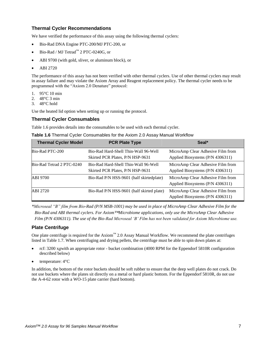#### <span id="page-7-0"></span>**Thermal Cycler Recommendations**

We have verified the performance of this assay using the following thermal cyclers:

- Bio-Rad DNA Engine PTC-200/MJ PTC-200, or
- Bio-Rad / MJ Tetrad™ 2 PTC-0240G, or
- ABI 9700 (with gold, sliver, or aluminum block), or
- ABI 2720

The performance of this assay has not been verified with other thermal cyclers. Use of other thermal cyclers may result in assay failure and may violate the Axiom Array and Reagent replacement policy. The thermal cycler needs to be programmed with the "Axiom 2.0 Denature" protocol:

- 1. 95°C 10 min
- 2. 48°C 3 min
- 3. 48°C hold

Use the heated lid option when setting up or running the protocol.

#### <span id="page-7-1"></span>**Thermal Cycler Consumables**

Table 1.6 provides details into the consumables to be used with each thermal cycler.

|  |  |  |  | Table 1.6 Thermal Cycler Consumables for the Axiom 2.0 Assay Manual Workflow |  |  |  |  |  |
|--|--|--|--|------------------------------------------------------------------------------|--|--|--|--|--|
|--|--|--|--|------------------------------------------------------------------------------|--|--|--|--|--|

| <b>Thermal Cycler Model</b> | <b>PCR Plate Type</b>                                                    | Seal*                                                                 |
|-----------------------------|--------------------------------------------------------------------------|-----------------------------------------------------------------------|
| Bio-Rad PTC-200             | Bio-Rad Hard-Shell Thin-Wall 96-Well<br>Skirted PCR Plates, P/N HSP-9631 | MicroAmp Clear Adhesive Film from<br>Applied Biosystems (P/N 4306311) |
| Bio-Rad Tetrad 2 PTC-0240   | Bio-Rad Hard-Shell Thin-Wall 96-Well<br>Skirted PCR Plates, P/N HSP-9631 | MicroAmp Clear Adhesive Film from<br>Applied Biosystems (P/N 4306311) |
| ABI 9700                    | Bio-Rad P/N HSS-9601 (half skirtedplate)                                 | MicroAmp Clear Adhesive Film from<br>Applied Biosystems (P/N 4306311) |
| ABI 2720                    | Bio-Rad P/N HSS-9601 (half skirted plate)                                | MicroAmp Clear Adhesive Film from<br>Applied Biosystems (P/N 4306311) |

*\*Microseal "B" film from Bio-Rad (P/N MSB-1001) may be used in place of MicroAmp Clear Adhesive Film for the Bio-Rad and ABI thermal cyclers. For Axiom™Microbiome applications, only use the MicroAmp Clear Adhesive Film (P/N 4306311). The use of the Bio-Rad Microseal 'B' Film has not been validated for Axiom Microbiome use.*

#### <span id="page-7-2"></span>**Plate Centrifuge**

One plate centrifuge is required for the Axiom™ 2.0 Assay Manual Workflow. We recommend the plate centrifuges listed in Table 1.7. When centrifuging and drying pellets, the centrifuge must be able to spin down plates at:

- rcf: 3200 x*g*with an appropriate rotor bucket combination (4000 RPM for the Eppendorf 5810R configuration described below)
- temperature: 4°C

In addition, the bottom of the rotor buckets should be soft rubber to ensure that the deep well plates do not crack. Do not use buckets where the plates sit directly on a metal or hard plastic bottom. For the Eppendorf 5810R, do not use the A-4-62 rotor with a WO-15 plate carrier (hard bottom).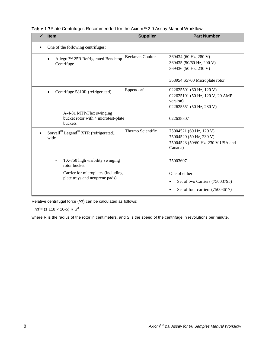**Table 1.7**Plate Centrifuges Recommended for the Axiom™2.0 Assay Manual Workflow

| <b>Item</b>                                                                                      | <b>Supplier</b>        | <b>Part Number</b>                                                                                  |
|--------------------------------------------------------------------------------------------------|------------------------|-----------------------------------------------------------------------------------------------------|
| One of the following centrifuges:                                                                |                        |                                                                                                     |
| Allegra™ 25R Refrigerated Benchtop<br>Centrifuge                                                 | <b>Beckman Coulter</b> | 369434 (60 Hz, 280 V)<br>369435 (50/60 Hz, 200 V)<br>369436 (50 Hz, 230 V)                          |
|                                                                                                  |                        | 368954 S5700 Microplate rotor                                                                       |
| Centrifuge 5810R (refrigerated)                                                                  | Eppendorf              | 022625501 (60 Hz, 120 V)<br>022625101 (50 Hz, 120 V, 20 AMP<br>version)<br>022625551 (50 Hz, 230 V) |
| A-4-81 MTP/Flex swinging<br>bucket rotor with 4 microtest-plate<br>buckets                       |                        | 022638807                                                                                           |
| Sorvall <sup>™</sup> Legend <sup>™</sup> XTR (refrigerated),<br>with:                            | Thermo Scientific      | 75004521 (60 Hz, 120 V)<br>75004520 (50 Hz, 230 V)<br>75004523 (50/60 Hz, 230 V USA and<br>Canada)  |
| TX-750 high visibility swinging<br>rotor bucket                                                  |                        | 75003607                                                                                            |
| Carrier for microplates (including<br>$\overline{\phantom{a}}$<br>plate trays and neoprene pads) |                        | One of either:<br>Set of two Carriers (75003795)<br>Set of four carriers (75003617)                 |

Relative centrifugal force (*rcf*) can be calculated as follows:

*rcf* = (1.118 × 10-5) R S<sup>2</sup>

where R is the radius of the rotor in centimeters, and S is the speed of the centrifuge in revolutions per minute.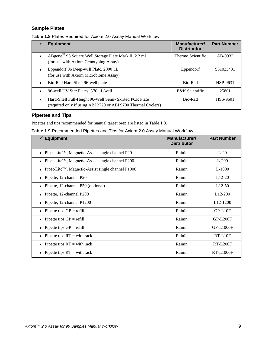### <span id="page-9-0"></span>**Sample Plates**

**Table 1.8** Plates Required for Axiom 2.0 Assay Manual Workflow

|           | <b>Equipment</b>                                                                                                        | Manufacturer/<br><b>Distributor</b> | <b>Part Number</b> |
|-----------|-------------------------------------------------------------------------------------------------------------------------|-------------------------------------|--------------------|
| $\bullet$ | ABgene <sup>™</sup> 96 Square Well Storage Plate Mark II, 2.2 mL<br>(for use with Axiom Genotyping Assay)               | Thermo Scientific                   | AB-0932            |
| $\bullet$ | Eppendorf 96 Deep-well Plate, 2000 µL<br>(for use with Axiom Microbiome Assay)                                          | Eppendorf                           | 951033481          |
| $\bullet$ | Bio-Rad Hard Shell 96-well plate                                                                                        | Bio-Rad                             | HSP-9631           |
| $\bullet$ | 96-well UV Star Plates, 370 µL/well                                                                                     | E&K Scientific                      | 25801              |
| $\bullet$ | Hard-Shell Full-Height 96-Well Semi- Skirted PCR Plate<br>(required only if using ABI 2720 or ABI 9700 Thermal Cyclers) | Bio-Rad                             | HSS-9601           |

### <span id="page-9-1"></span>**Pipettes and Tips**

Pipettes and tips recommended for manual target prep are listed in Table 1.9.

**Table 1.9** Recommended Pipettes and Tips for Axiom 2.0 Assay Manual Workflow

| <b>Equipment</b><br>✓                                             | Manufacturer/<br><b>Distributor</b> | <b>Part Number</b>    |
|-------------------------------------------------------------------|-------------------------------------|-----------------------|
| Pipet-Lite™, Magnetic-Assist single channel P20                   | Rainin                              | $L-20$                |
| Pipet-Lite <sup>TM</sup> , Magnetic-Assist single channel P200    | Rainin                              | $L-200$               |
| Pipet-Lite <sup>TM</sup> , Magnetic-Assist single channel $P1000$ | Rainin                              | $L-1000$              |
| Pipette, 12-channel P20                                           | Rainin                              | $L12-20$              |
| Pipette, 12-channel P50 (optional)                                | Rainin                              | $L12-50$              |
| Pipette, 12-channel P200                                          | Rainin                              | L <sub>12</sub> -200  |
| Pipette, 12-channel P1200                                         | Rainin                              | L <sub>12</sub> -1200 |
| Pipette tips $GP = refill$                                        | Rainin                              | $GP-L10F$             |
| Pipette tips $GP = \text{refill}$                                 | Rainin                              | $GP-L200F$            |
| Pipette tips $GP = \text{refill}$                                 | Rainin                              | <b>GP-L1000F</b>      |
| Pipette tips $RT =$ with rack                                     | Rainin                              | $RT-L10F$             |
| Pipette tips $RT = with$ rack                                     | Rainin                              | <b>RT-L200F</b>       |
| Pipette tips $RT = with$ rack                                     | Rainin                              | <b>RT-L1000F</b>      |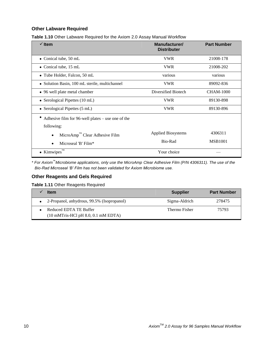### <span id="page-10-0"></span>**Other Labware Required**

| $\checkmark$ Item                                      | Manufacturer/<br><b>Distributer</b> | <b>Part Number</b> |
|--------------------------------------------------------|-------------------------------------|--------------------|
| • Conical tube, $50 \text{ mL}$                        | <b>VWR</b>                          | 21008-178          |
| • Conical tube, 15 mL                                  | <b>VWR</b>                          | 21008-202          |
| • Tube Holder, Falcon, 50 mL                           | various                             | various            |
| • Solution Basin, 100 mL sterile, multichannel         | <b>VWR</b>                          | 89092-836          |
| • 96 well plate metal chamber                          | Diversified Biotech                 | <b>CHAM-1000</b>   |
| • Serological Pipettes $(10 \text{ mL})$               | <b>VWR</b>                          | 89130-898          |
| • Serological Pipettes $(5 \text{ mL})$                | <b>VWR</b>                          | 89130-896          |
| Adhesive film for 96-well plates – use one of the      |                                     |                    |
| following:                                             |                                     |                    |
| MicroAmp <sup>™</sup> Clear Adhesive Film<br>$\bullet$ | <b>Applied Biosystems</b>           | 4306311            |
| Microseal 'B' Film*<br>$\bullet$                       | Bio-Rad                             | <b>MSB1001</b>     |
| TM<br>• Kimwipes                                       | Your choice                         |                    |

**Table 1.10** Other Labware Required for the Axiom 2.0 Assay Manual Workflow

*\* For Axiom*™*Microbiome applications, only use the MicroAmp Clear Adhesive Film (P/N 4306311). The use of the Bio-Rad Microseal 'B' Film has not been validated for Axiom Microbiome use.*

### <span id="page-10-1"></span>**Other Reagents and Gels Required**

**Table 1.11** Other Reagents Required

| <b>Item</b>                                                                      | <b>Supplier</b> | <b>Part Number</b> |
|----------------------------------------------------------------------------------|-----------------|--------------------|
| • 2-Propanol, anhydrous, 99.5% (Isopropanol)                                     | Sigma-Aldrich   | 278475             |
| Reduced EDTA TE Buffer<br>$(10 \text{ mMTris-HCl pH } 8.0, 0.1 \text{ mM EDTA})$ | Thermo Fisher   | 75793              |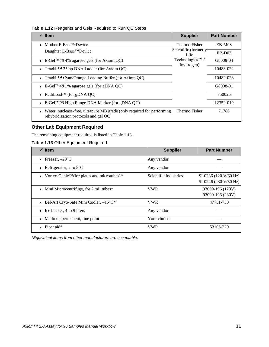#### **Table 1.12** Reagents and Gels Required to Run QC Steps

| $\checkmark$ ltem                                                                                               | <b>Supplier</b>                      | <b>Part Number</b> |
|-----------------------------------------------------------------------------------------------------------------|--------------------------------------|--------------------|
| • Mother E-Base <sup>TM</sup> Device                                                                            | Thermo Fisher                        | $EB-M03$           |
| Daughter E-Base <sup>TM</sup> Device                                                                            | Scientific (formerly<br>Life         | $EB-D03$           |
| • E-Gel <sup>TM48</sup> 4% agarose gels (for Axiom QC)                                                          | $Technologies^{TM}$ /<br>Invitrogen) | G8008-04           |
| • TrackIt <sup>TM</sup> 25 bp DNA Ladder (for Axiom QC)                                                         |                                      | 10488-022          |
| • TrackIt <sup>TM</sup> Cyan/Orange Loading Buffer (for Axiom QC)                                               |                                      | 10482-028          |
| • E-Gel <sup>TM48</sup> 1% agarose gels (for gDNA QC)                                                           |                                      | G8008-01           |
| • RediLoad <sup>TM</sup> (for gDNA QC)                                                                          |                                      | 750026             |
| • E-Gel <sup>TM96</sup> High Range DNA Marker (for gDNA QC)                                                     |                                      | 12352-019          |
| Water, nuclease-free, ultrapure MB grade (only required for performing<br>rehybridization protocols and gel QC) | Thermo Fisher                        | 71786              |

### <span id="page-11-0"></span>**Other Lab Equipment Required**

The remaining equipment required is listed in Table 1.13.

### **Table 1.13** Other Equipment Required

| $\checkmark$ ltem                                 | <b>Supplier</b>       | <b>Part Number</b>    |
|---------------------------------------------------|-----------------------|-----------------------|
| • Freezer, $-20^{\circ}$ C                        | Any vendor            |                       |
| • Refrigerator, 2 to $8^{\circ}$ C                | Any vendor            |                       |
| Vortex-Genie™(for plates and microtubes)*         | Scientific Industries | SI-0236 (120 V/60 Hz) |
|                                                   |                       | SI-0246 (230 V/50 Hz) |
| Mini Microcentrifuge, for 2 mL tubes*             | <b>VWR</b>            | 93000-196 (120V)      |
|                                                   |                       | 93000-196 (230V)      |
| • Bel-Art Cryo-Safe Mini Cooler, $-15^{\circ}C^*$ | <b>VWR</b>            | 47751-730             |
| • Ice bucket, 4 to 9 liters                       | Any vendor            |                       |
| Markers, permanent, fine point                    | Your choice           |                       |
| Pipet aid*                                        | <b>VWR</b>            | 53106-220             |

*\*Equivalent items from other manufacturers are acceptable.*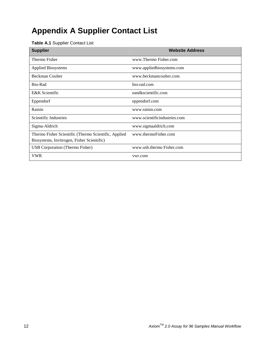# <span id="page-12-0"></span>**Appendix A Supplier Contact List**

**Table A.1** Supplier Contact List

| <b>Supplier</b>                                      | <b>Website Address</b>       |
|------------------------------------------------------|------------------------------|
| Thermo Fisher                                        | www.Thermo Fisher.com        |
| <b>Applied Biosystems</b>                            | www.appliedbiosystems.com    |
| <b>Beckman Coulter</b>                               | www.beckmancoulter.com       |
| Bio-Rad                                              | bio-rad.com                  |
| E&K Scientific                                       | eandkscientific.com          |
| Eppendorf                                            | eppendorf.com                |
| Rainin                                               | www.rainin.com               |
| Scientific Industries                                | www.scientificindustries.com |
| Sigma-Aldrich                                        | www.sigmaaldrich.com         |
| Thermo Fisher Scientific (Thermo Scientific, Applied | www.thermoFisher.com         |
| Biosystems, Invitrogen, Fisher Scientific)           |                              |
| <b>USB Corporation (Thermo Fisher)</b>               | www.usb.thermo Fisher.com    |
| <b>VWR</b>                                           | vwr.com                      |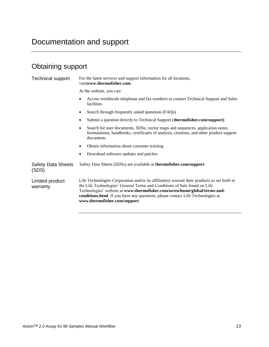# Obtaining support

| <b>Technical support</b>           | For the latest services and support information for all locations,<br>visitwww.thermofisher.com.                                                                                                                                                                                                                                                                            |  |
|------------------------------------|-----------------------------------------------------------------------------------------------------------------------------------------------------------------------------------------------------------------------------------------------------------------------------------------------------------------------------------------------------------------------------|--|
|                                    | At the website, you can:                                                                                                                                                                                                                                                                                                                                                    |  |
|                                    | Access worldwide telephone and fax numbers to contact Technical Support and Sales<br>$\bullet$<br>facilities                                                                                                                                                                                                                                                                |  |
|                                    | Search through frequently asked questions (FAQs)<br>$\bullet$                                                                                                                                                                                                                                                                                                               |  |
|                                    | Submit a question directly to Technical Support (thermofisher.com/support)                                                                                                                                                                                                                                                                                                  |  |
|                                    | Search for user documents, SDSs, vector maps and sequences, application notes,<br>$\bullet$<br>formulations, handbooks, certificates of analysis, citations, and other product support<br>documents                                                                                                                                                                         |  |
|                                    | Obtain information about customer training                                                                                                                                                                                                                                                                                                                                  |  |
|                                    | Download software updates and patches                                                                                                                                                                                                                                                                                                                                       |  |
| <b>Safety Data Sheets</b><br>(SDS) | Safety Data Sheets (SDSs) are available at thermofisher.com/support.                                                                                                                                                                                                                                                                                                        |  |
| Limited product<br>warranty        | Life Technologies Corporation and/or its affiliate(s) warrant their products as set forth in<br>the Life Technologies' General Terms and Conditions of Sale found on Life<br>Technologies' website at www.thermofisher.com/us/en/home/global/terms-and-<br>conditions.html. If you have any questions, please contact Life Technologies at<br>www.thermofisher.com/support. |  |